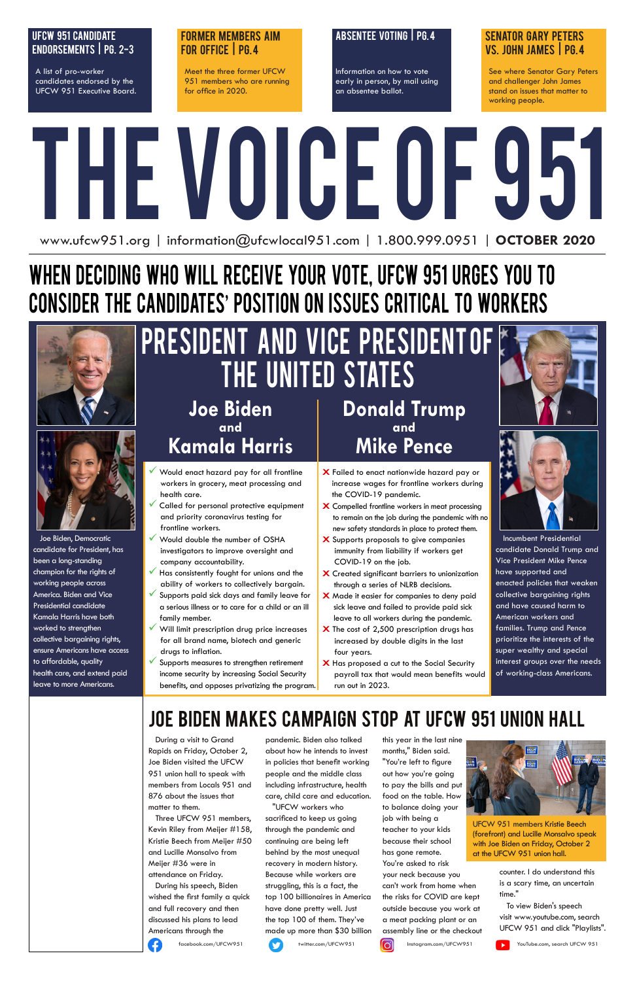# THE VOICE OF 951 www.ufcw951.org | information@ufcwlocal951.com | 1.800.999.0951 | **OCTOBER 2020**

### Absentee Voting | Pg. 4

Information on how to vote early in person, by mail using an absentee ballot.

### ufcw 951 candidate endorsements | pg. 2-3

A list of pro-worker candidates endorsed by the UFCW 951 Executive Board.

### Former Members aim for office | Pg. 4

Meet the three former UFCW 951 members who are running for office in 2020.

### Senator Gary Peters vs. John James | Pg. 4

See where Senator Gary Peters and challenger John James stand on issues that matter to working people.

# When Deciding Who will Receive Your Vote, UFCW 951 Urges You to Consider the Candidates' Position on Issues Critical to Workers





### **Joe Biden and Kamala Harris**

- **X** Failed to enact nationwide hazard pay or increase wages for frontline workers during the COVID-19 pandemic.
- **X** Compelled frontline workers in meat processing to remain on the job during the pandemic with no new safety standards in place to protect them.
- **X** Supports proposals to give companies immunity from liability if workers get COVID-19 on the job.
- **X** Created significant barriers to unionization through a series of NLRB decisions.
- **X** Made it easier for companies to deny paid sick leave and failed to provide paid sick leave to all workers during the pandemic.
- **X** The cost of 2,500 prescription drugs has increased by double digits in the last four years.
- **X** Has proposed a cut to the Social Security payroll tax that would mean benefits would run out in 2023.





- Would enact hazard pay for all frontline workers in grocery, meat processing and health care.
- Called for personal protective equipment and priority coronavirus testing for frontline workers.
- Would double the number of OSHA investigators to improve oversight and company accountability.
- Has consistently fought for unions and the ability of workers to collectively bargain.
- Supports paid sick days and family leave for a serious illness or to care for a child or an ill family member.
- Will limit prescription drug price increases for all brand name, biotech and generic drugs to inflation.
- Supports measures to strengthen retirement income security by increasing Social Security benefits, and opposes privatizing the program.

 Joe Biden, Democratic candidate for President, has been a long-standing champion for the rights of working people across America. Biden and Vice Presidential candidate Kamala Harris have both worked to strengthen collective bargaining rights, ensure Americans have access to affordable, quality health care, and extend paid leave to more Americans.

# PRESIDENT AND VICE PRESIDENT OF THE UNITED STATES

**Donald Trump and Mike Pence**

> Incumbent Presidential candidate Donald Trump and Vice President Mike Pence have supported and enacted policies that weaken collective bargaining rights and have caused harm to American workers and families. Trump and Pence prioritize the interests of the super wealthy and special interest groups over the needs of working-class Americans.

### Joe Biden makes Campaign stop at UFCW 951 union Hall

 During a visit to Grand Rapids on Friday, October 2, Joe Biden visited the UFCW 951 union hall to speak with members from Locals 951 and 876 about the issues that matter to them.

 Three UFCW 951 members, Kevin Riley from Meijer #158, Kristie Beech from Meijer #50 and Lucille Monsalvo from Meijer #36 were in attendance on Friday.

 During his speech, Biden wished the first family a quick and full recovery and then discussed his plans to lead Americans through the



 "UFCW workers who sacrificed to keep us going through the pandemic and continuing are being left behind by the most unequal recovery in modern history. Because while workers are struggling, this is a fact, the top 100 billionaires in America have done pretty well. Just the top 100 of them. They've made up more than \$30 billion

this year in the last nine months," Biden said. "You're left to figure out how you're going to pay the bills and put food on the table. How to balance doing your job with being a teacher to your kids because their school has gone remote. You're asked to risk your neck because you can't work from home when the risks for COVID are kept outside because you work at a meat packing plant or an assembly line or the checkout



counter. I do understand this is a scary time, an uncertain time."

 To view Biden's speech visit www.youtube.com, search UFCW 951 and click "Playlists".



facebook.com/UFCW951 twitter.com/UFCW951 **instagram.com/UFCW951** SouTube.com, search UFCW 951



UFCW 951 members Kristie Beech (forefront) and Lucille Monsalvo speak with Joe Biden on Friday, October 2 at the UFCW 951 union hall.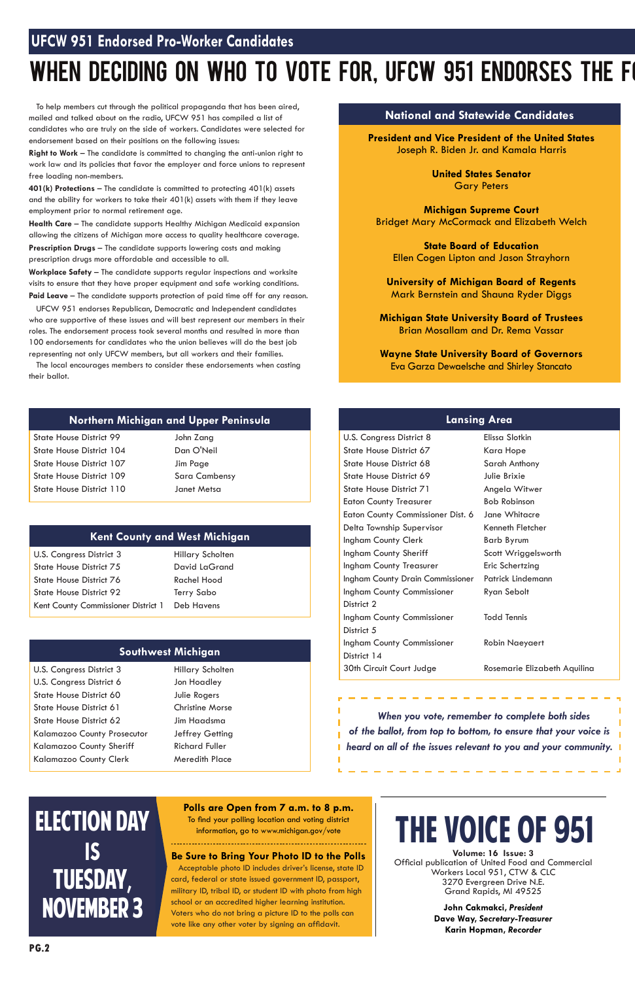### **UFCW 951 Endorsed Pro-Worker Candidates**

# WHEN DECIDING ON WHO TO VOTE FOR, UFCW 951 ENDORSES THE FO

**Volume: 16 Issue: 3** Official publication of United Food and Commercial Workers Local 951, CTW & CLC 3270 Evergreen Drive N.E. Grand Rapids, MI 49525

> **John Cakmakci,** *President* **Dave Way,** *Secretary-Treasurer*  **Karin Hopman,** *Recorder*

# The Voice of 951

### **Lansing Area**

| U.S. Congress District 8          | Elissa Slotkin               |
|-----------------------------------|------------------------------|
| State House District 67           | Kara Hope                    |
| State House District 68           | Sarah Anthony                |
| State House District 69           | Julie Brixie                 |
| <b>State House District 71</b>    | Angela Witwer                |
| <b>Eaton County Treasurer</b>     | <b>Bob Robinson</b>          |
| Eaton County Commissioner Dist. 6 | Jane Whitacre                |
| Delta Township Supervisor         | Kenneth Fletcher             |
| Ingham County Clerk               | <b>Barb Byrum</b>            |
| Ingham County Sheriff             | Scott Wriggelsworth          |
| Ingham County Treasurer           | Eric Schertzing              |
| Ingham County Drain Commissioner  | Patrick Lindemann            |
| <b>Ingham County Commissioner</b> | Ryan Sebolt                  |
| District 2                        |                              |
| <b>Ingham County Commissioner</b> | <b>Todd Tennis</b>           |
| District 5                        |                              |
| Ingham County Commissioner        | <b>Robin Naeyaert</b>        |
| District 14                       |                              |
| 30th Circuit Court Judge          | Rosemarie Elizabeth Aquilina |
|                                   |                              |

**Workplace Safety** – The candidate supports regular inspections and worksite visits to ensure that they have proper equipment and safe working conditions. Paid Leave – The candidate supports protection of paid time off for any reason.

 To help members cut through the political propaganda that has been aired, mailed and talked about on the radio, UFCW 951 has compiled a list of candidates who are truly on the side of workers. Candidates were selected for endorsement based on their positions on the following issues:

**Right to Work** – The candidate is committed to changing the anti-union right to work law and its policies that favor the employer and force unions to represent free loading non-members.

**401(k) Protections** – The candidate is committed to protecting 401(k) assets and the ability for workers to take their 401(k) assets with them if they leave employment prior to normal retirement age.

**Health Care** – The candidate supports Healthy Michigan Medicaid expansion allowing the citizens of Michigan more access to quality healthcare coverage. **Prescription Drugs** – The candidate supports lowering costs and making prescription drugs more affordable and accessible to all.

> Hillary Scholten David LaGrand Rachel Hood Terry Sabo ict 1 Deb Havens

 UFCW 951 endorses Republican, Democratic and Independent candidates who are supportive of these issues and will best represent our members in their roles. The endorsement process took several months and resulted in more than 100 endorsements for candidates who the union believes will do the best job representing not only UFCW members, but all workers and their families.

 The local encourages members to consider these endorsements when casting their ballot.

### **National and Statewide Candidates**

**President and Vice President of the United States** Joseph R. Biden Jr. and Kamala Harris

> **United States Senator** Gary Peters

**Michigan Supreme Court** Bridget Mary McCormack and Elizabeth Welch

**State Board of Education** Ellen Cogen Lipton and Jason Strayhorn

**University of Michigan Board of Regents** Mark Bernstein and Shauna Ryder Diggs

**Michigan State University Board of Trustees** Brian Mosallam and Dr. Rema Vassar

**Wayne State University Board of Governors** Eva Garza Dewaelsche and Shirley Stancato

### **Northern Michigan and Upper Peninsula**

State House District 99 State House District 104 State House District 107 State House District 109 State House District 110 John Zang Dan O'Neil Jim Page Sara Cambensy Janet Metsa

# ELECTION DAY **IS**  Tuesday, November 3

### **Southwest Michigan**

 $\overline{\phantom{a}}$ 

U.S. Congress District 3 U.S. Congress District 6 State House District 60 State House District 61 State House District 62 Kalamazoo County Prosecutor Kalamazoo County Sheriff Kalamazoo County Clerk

Hillary Scholten Jon Hoadley Julie Rogers Christine Morse

Jim Haadsma Jeffrey Getting Richard Fuller Meredith Place

### **Kent County and West Michigan**

| U.S. Congress District 3            |  |
|-------------------------------------|--|
| <b>State House District 75</b>      |  |
| State House District 76             |  |
| <b>State House District 92</b>      |  |
| Kent County Commissioner District 1 |  |

### **Be Sure to Bring Your Photo ID to the Polls**

 Acceptable photo ID includes driver's license, state ID card, federal or state issued government ID, passport, military ID, tribal ID, or student ID with photo from high school or an accredited higher learning institution. Voters who do not bring a picture ID to the polls can vote like any other voter by signing an affidavit.

### **Polls are Open from 7 a.m. to 8 p.m.**

To find your polling location and voting district information, go to www.michigan.gov/vote

 *When you vote, remember to complete both sides* 

*of the ballot, from top to bottom, to ensure that your voice is heard on all of the issues relevant to you and your community.*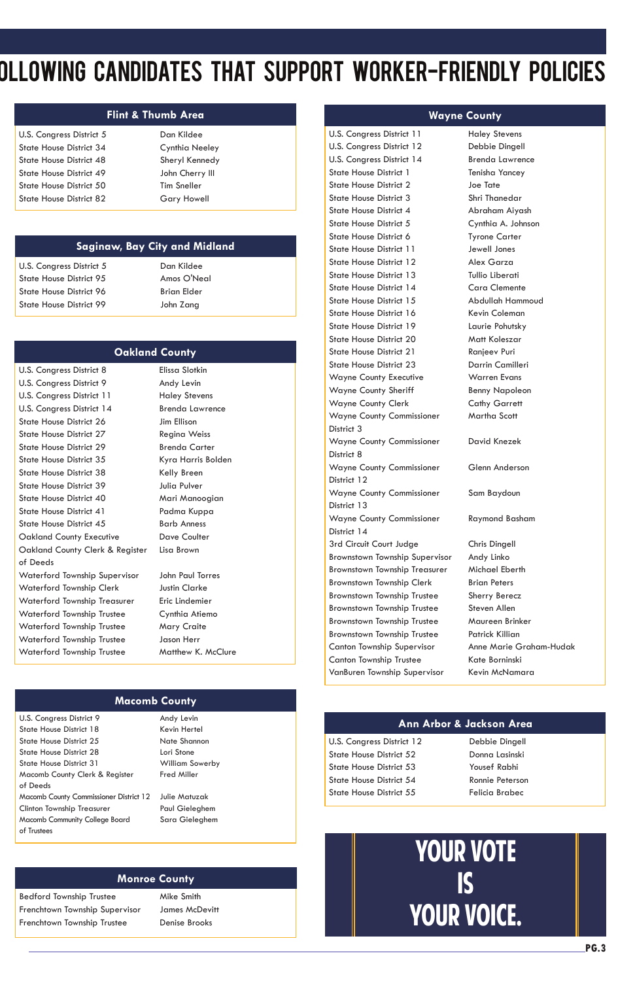### **Saginaw, Bay City and Midland**

U.S. Congress District 5 State House District 95 State House District 96 State House District 99

Dan Kildee Amos O'Neal Brian Elder John Zang

# OLLOWING CANDIDATES THAT SUPPORT WORKER-FRIENDLY POLICIES

### **Flint & Thumb Area**

U.S. Congress District 5 State House District 34 State House District 48 State House District 49 State House District 50 State House District 82

Dan Kildee Cynthia Neeley Sheryl Kennedy John Cherry III Tim Sneller Gary Howell

### **Wayne County**

U.S. Congress District 11 U.S. Congress District 12 U.S. Congress District 14 State House District 1 State House District 2 State House District 3 State House District 4 State House District 5 State House District 6 State House District 11 State House District 12 State House District 13 State House District 14 State House District 15 State House District 16 State House District 19 State House District 20 State House District 21 State House District 23 Wayne County Executive Wayne County Sheriff Wayne County Clerk Wayne County Commissioner District 3 Wayne County Commissioner District 8 Wayne County Commissioner District 12 Wayne County Commissioner District 13 Wayne County Commissioner District 14 3rd Circuit Court Judge Brownstown Township Supervisor Brownstown Township Treasurer Brownstown Township Clerk Brownstown Township Trustee Brownstown Township Trustee Brownstown Township Trustee Brownstown Township Trustee Canton Township Supervisor Canton Township Trustee VanBuren Township Supervisor

Haley Stevens Debbie Dingell Brenda Lawrence Tenisha Yancey Joe Tate Shri Thanedar Abraham Aiyash Cynthia A. Johnson Tyrone Carter Jewell Jones Alex Garza Tullio Liberati Cara Clemente Abdullah Hammoud Kevin Coleman Laurie Pohutsky Matt Koleszar Ranjeev Puri Darrin Camilleri Warren Evans Benny Napoleon Cathy Garrett Martha Scott David Knezek Glenn Anderson Sam Baydoun Raymond Basham Chris Dingell Andy Linko Michael Eberth Brian Peters Sherry Berecz Steven Allen Maureen Brinker Patrick Killian

Anne Marie Graham-Hudak

Kate Borninski Kevin McNamara

### **Macomb County**

U.S. Congress District 9

State House District 18 State House District 25 State House District 28 State House District 31 Macomb County Clerk & Register of Deeds Macomb County Commissioner District 12 Clinton Township Treasurer Macomb Community College Board of Trustees

Andy Levin

Kevin Hertel Nate Shannon Lori Stone William Sowerby Fred Miller

Julie Matuzak Paul Gieleghem Sara Gieleghem

U.S. Congress District 8 U.S. Congress District 9 U.S. Congress District 11 U.S. Congress District 14 State House District 26 State House District 27 State House District 29 State House District 35 State House District 38 State House District 39 State House District 40 State House District 41 State House District 45 Oakland County Executive Oakland County Clerk & Register of Deeds Waterford Township Supervisor Waterford Township Clerk Waterford Township Treasurer Waterford Township Trustee Waterford Township Trustee Waterford Township Trustee Waterford Township Trustee

Elissa Slotkin Andy Levin Haley Stevens Brenda Lawrence Jim Ellison Regina Weiss Brenda Carter Kyra Harris Bolden Kelly Breen Julia Pulver Mari Manoogian Padma Kuppa Barb Anness Dave Coulter Lisa Brown John Paul Torres

Justin Clarke Eric Lindemier Cynthia Atiemo Mary Craite Jason Herr Matthew K. McClure

### **Oakland County**

### **Ann Arbor & Jackson Area**

U.S. Congress District 12 State House District 52 State House District 53 State House District 54 State House District 55

Debbie Dingell Donna Lasinski Yousef Rabhi Ronnie Peterson Felicia Brabec

### **Monroe County**

Bedford Township Trustee Frenchtown Township Supervisor Frenchtown Township Trustee

Mike Smith James McDevitt Denise Brooks